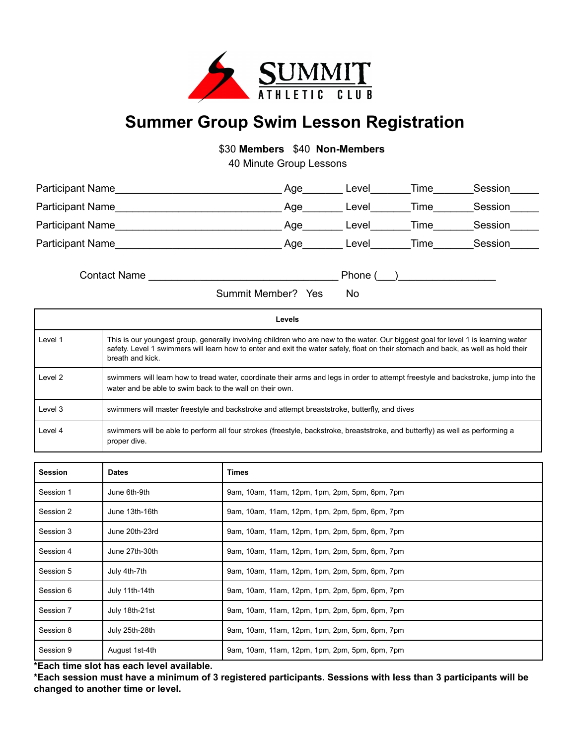

## **Summer Group Swim Lesson Registration**

\$30 **Members** \$40 **Non-Members**

40 Minute Group Lessons

| <b>Participant Name</b> | Age | Level | Time | Session |
|-------------------------|-----|-------|------|---------|
| <b>Participant Name</b> | Aqe | Level | Time | Session |
| <b>Participant Name</b> | Age | Level | Time | Session |
| <b>Participant Name</b> | Age | Level | Time | Session |

Contact Name **Example 2** and  $\blacksquare$  Phone (2001)

Summit Member? Yes No

| Levels  |                                                                                                                                                                                                                                                                                             |  |  |  |
|---------|---------------------------------------------------------------------------------------------------------------------------------------------------------------------------------------------------------------------------------------------------------------------------------------------|--|--|--|
| Level 1 | This is our youngest group, generally involving children who are new to the water. Our biggest goal for level 1 is learning water<br>safety. Level 1 swimmers will learn how to enter and exit the water safely, float on their stomach and back, as well as hold their<br>breath and kick. |  |  |  |
| Level 2 | swimmers will learn how to tread water, coordinate their arms and legs in order to attempt freestyle and backstroke, jump into the<br>water and be able to swim back to the wall on their own.                                                                                              |  |  |  |
| Level 3 | swimmers will master freestyle and backstroke and attempt breaststroke, butterfly, and dives                                                                                                                                                                                                |  |  |  |
| Level 4 | swimmers will be able to perform all four strokes (freestyle, backstroke, breaststroke, and butterfly) as well as performing a<br>proper dive.                                                                                                                                              |  |  |  |

| <b>Session</b> | <b>Dates</b>   | Times                                          |
|----------------|----------------|------------------------------------------------|
| Session 1      | June 6th-9th   | 9am, 10am, 11am, 12pm, 1pm, 2pm, 5pm, 6pm, 7pm |
| Session 2      | June 13th-16th | 9am, 10am, 11am, 12pm, 1pm, 2pm, 5pm, 6pm, 7pm |
| Session 3      | June 20th-23rd | 9am, 10am, 11am, 12pm, 1pm, 2pm, 5pm, 6pm, 7pm |
| Session 4      | June 27th-30th | 9am, 10am, 11am, 12pm, 1pm, 2pm, 5pm, 6pm, 7pm |
| Session 5      | July 4th-7th   | 9am, 10am, 11am, 12pm, 1pm, 2pm, 5pm, 6pm, 7pm |
| Session 6      | July 11th-14th | 9am, 10am, 11am, 12pm, 1pm, 2pm, 5pm, 6pm, 7pm |
| Session 7      | July 18th-21st | 9am, 10am, 11am, 12pm, 1pm, 2pm, 5pm, 6pm, 7pm |
| Session 8      | July 25th-28th | 9am, 10am, 11am, 12pm, 1pm, 2pm, 5pm, 6pm, 7pm |
| Session 9      | August 1st-4th | 9am, 10am, 11am, 12pm, 1pm, 2pm, 5pm, 6pm, 7pm |

**\*Each time slot has each level available.**

\*Each session must have a minimum of 3 registered participants. Sessions with less than 3 participants will be **changed to another time or level.**